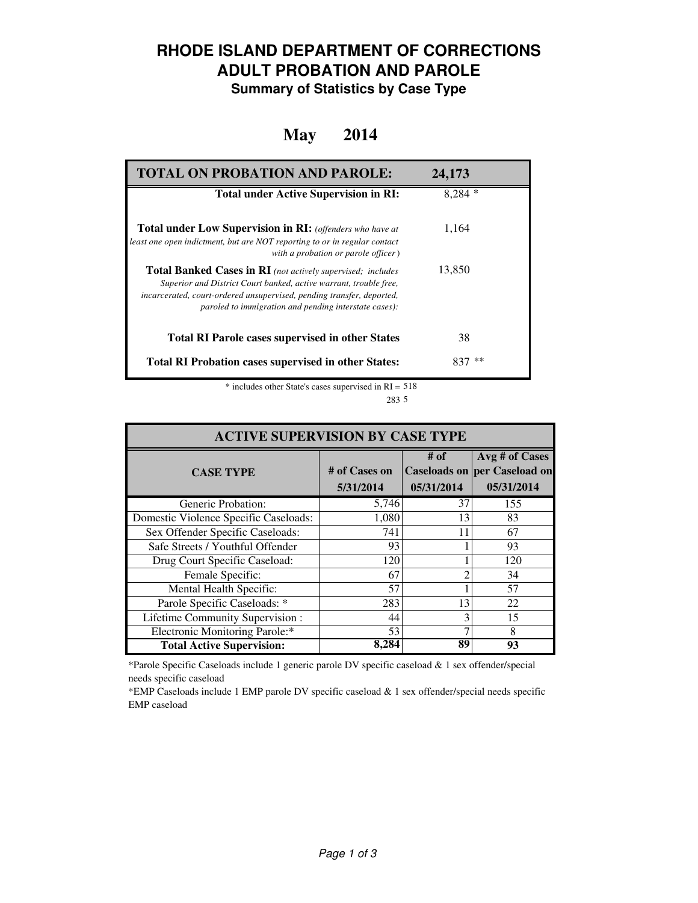## **RHODE ISLAND DEPARTMENT OF CORRECTIONS ADULT PROBATION AND PAROLE**

**Summary of Statistics by Case Type**

#### **May 2014**

| <b>TOTAL ON PROBATION AND PAROLE:</b>                                                                                                                                                                                                                                     | 24,173   |
|---------------------------------------------------------------------------------------------------------------------------------------------------------------------------------------------------------------------------------------------------------------------------|----------|
| <b>Total under Active Supervision in RI:</b>                                                                                                                                                                                                                              | $8.284*$ |
| <b>Total under Low Supervision in RI:</b> (offenders who have at<br>least one open indictment, but are NOT reporting to or in regular contact<br>with a probation or parole officer)                                                                                      | 1,164    |
| <b>Total Banked Cases in RI</b> (not actively supervised; includes<br>Superior and District Court banked, active warrant, trouble free,<br>incarcerated, court-ordered unsupervised, pending transfer, deported,<br>paroled to immigration and pending interstate cases): | 13,850   |
| <b>Total RI Parole cases supervised in other States</b>                                                                                                                                                                                                                   | 38       |
| <b>Total RI Probation cases supervised in other States:</b>                                                                                                                                                                                                               | **       |

\* includes other State's cases supervised in RI = 518 5 283

| <b>ACTIVE SUPERVISION BY CASE TYPE</b> |                            |                    |                                                                     |  |  |
|----------------------------------------|----------------------------|--------------------|---------------------------------------------------------------------|--|--|
| <b>CASE TYPE</b>                       | # of Cases on<br>5/31/2014 | # of<br>05/31/2014 | Avg # of Cases<br><b>Caseloads on per Caseload on</b><br>05/31/2014 |  |  |
| Generic Probation:                     | 5,746                      | 37                 | 155                                                                 |  |  |
| Domestic Violence Specific Caseloads:  | 1,080                      | 13                 | 83                                                                  |  |  |
| Sex Offender Specific Caseloads:       | 741                        | 11                 | 67                                                                  |  |  |
| Safe Streets / Youthful Offender       | 93                         |                    | 93                                                                  |  |  |
| Drug Court Specific Caseload:          | 120                        |                    | 120                                                                 |  |  |
| Female Specific:                       | 67                         | ◠                  | 34                                                                  |  |  |
| Mental Health Specific:                | 57                         |                    | 57                                                                  |  |  |
| Parole Specific Caseloads: *           | 283                        | 13                 | 22                                                                  |  |  |
| Lifetime Community Supervision:        | 44                         |                    | 15                                                                  |  |  |
| Electronic Monitoring Parole:*         | 53                         |                    | 8                                                                   |  |  |
| <b>Total Active Supervision:</b>       | 8,284                      | 89                 | 93                                                                  |  |  |

\*Parole Specific Caseloads include 1 generic parole DV specific caseload & 1 sex offender/special needs specific caseload

\*EMP Caseloads include 1 EMP parole DV specific caseload & 1 sex offender/special needs specific EMP caseload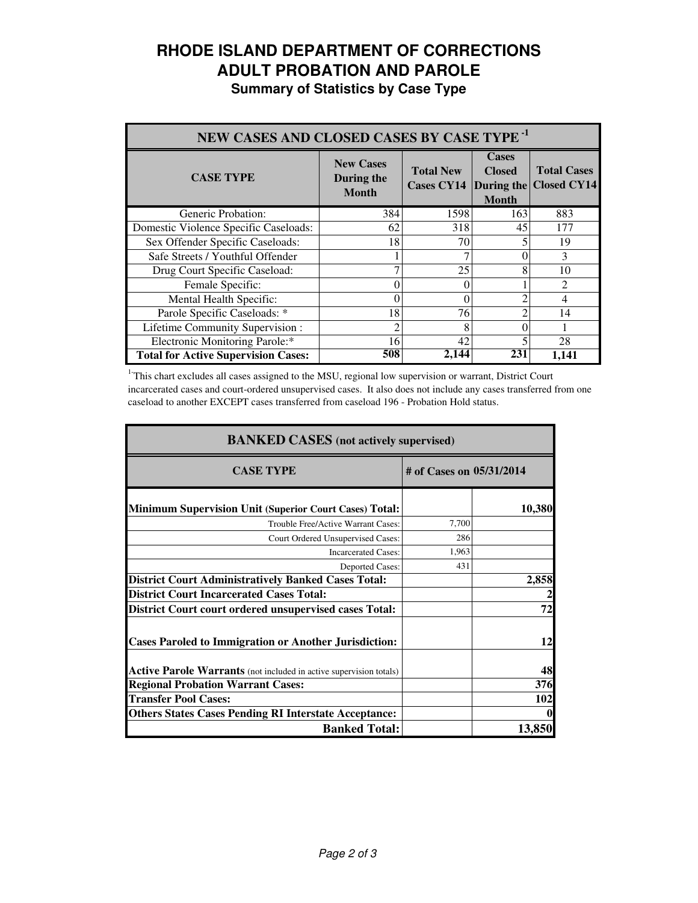# **RHODE ISLAND DEPARTMENT OF CORRECTIONS ADULT PROBATION AND PAROLE**

**Summary of Statistics by Case Type**

| NEW CASES AND CLOSED CASES BY CASE TYPE <sup>-1</sup> |                                                |                                                  |                                               |                                          |
|-------------------------------------------------------|------------------------------------------------|--------------------------------------------------|-----------------------------------------------|------------------------------------------|
| <b>CASE TYPE</b>                                      | <b>New Cases</b><br>During the<br><b>Month</b> | <b>Total New</b><br><b>Cases CY14</b> During the | <b>Cases</b><br><b>Closed</b><br><b>Month</b> | <b>Total Cases</b><br><b>Closed CY14</b> |
| Generic Probation:                                    | 384                                            | 1598                                             | 163                                           | 883                                      |
| Domestic Violence Specific Caseloads:                 | 62                                             | 318                                              | 45                                            | 177                                      |
| Sex Offender Specific Caseloads:                      | 18                                             | 70                                               |                                               | 19                                       |
| Safe Streets / Youthful Offender                      |                                                |                                                  |                                               | 3                                        |
| Drug Court Specific Caseload:                         |                                                | 25                                               | 8                                             | 10                                       |
| Female Specific:                                      | 0                                              | 0                                                |                                               | $\mathcal{D}_{\mathcal{A}}$              |
| Mental Health Specific:                               | 0                                              | 0                                                |                                               | 4                                        |
| Parole Specific Caseloads: *                          | 18                                             | 76                                               |                                               | 14                                       |
| Lifetime Community Supervision:                       |                                                | 8                                                |                                               |                                          |
| Electronic Monitoring Parole:*                        | 16                                             | 42                                               |                                               | 28                                       |
| <b>Total for Active Supervision Cases:</b>            | 508                                            | 2,144                                            | 231                                           | 1.141                                    |

<sup>1</sup>This chart excludes all cases assigned to the MSU, regional low supervision or warrant, District Court incarcerated cases and court-ordered unsupervised cases. It also does not include any cases transferred from one caseload to another EXCEPT cases transferred from caseload 196 - Probation Hold status.

| <b>BANKED CASES</b> (not actively supervised)                      |                          |            |  |
|--------------------------------------------------------------------|--------------------------|------------|--|
| <b>CASE TYPE</b>                                                   | # of Cases on 05/31/2014 |            |  |
| <b>Minimum Supervision Unit (Superior Court Cases) Total:</b>      |                          | 10,380     |  |
| Trouble Free/Active Warrant Cases:                                 | 7,700                    |            |  |
| Court Ordered Unsupervised Cases:                                  | 286                      |            |  |
| <b>Incarcerated Cases:</b>                                         | 1,963                    |            |  |
| <b>Deported Cases:</b>                                             | 431                      |            |  |
| <b>District Court Administratively Banked Cases Total:</b>         |                          | 2,858      |  |
| <b>District Court Incarcerated Cases Total:</b>                    |                          |            |  |
| District Court court ordered unsupervised cases Total:             |                          | 72         |  |
| <b>Cases Paroled to Immigration or Another Jurisdiction:</b>       |                          | 12         |  |
| Active Parole Warrants (not included in active supervision totals) |                          | 48         |  |
| <b>Regional Probation Warrant Cases:</b>                           |                          | <b>376</b> |  |
| <b>Transfer Pool Cases:</b>                                        |                          | 102        |  |
| <b>Others States Cases Pending RI Interstate Acceptance:</b>       |                          |            |  |
| <b>Banked Total:</b>                                               |                          | 13,850     |  |